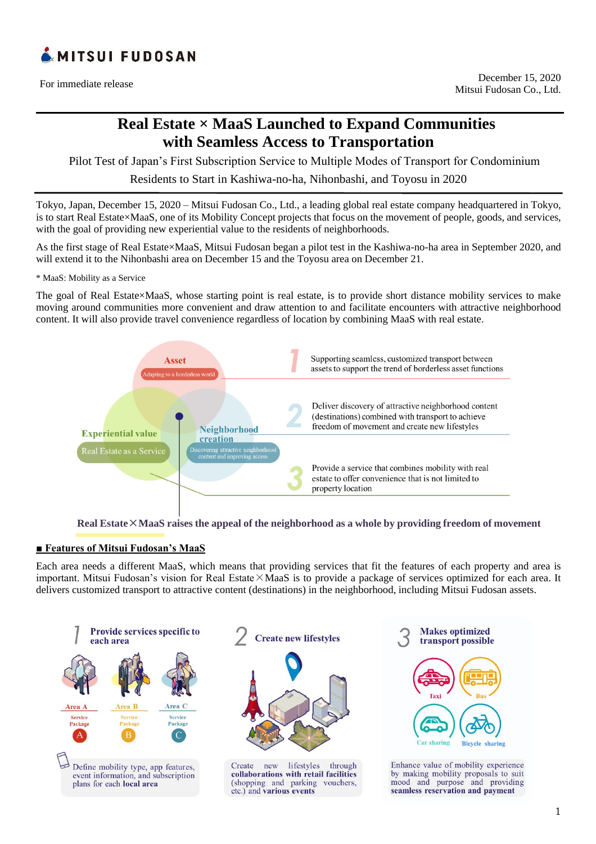

For immediate release

# **Real Estate × MaaS Launched to Expand Communities with Seamless Access to Transportation**

Pilot Test of Japan's First Subscription Service to Multiple Modes of Transport for Condominium

Residents to Start in Kashiwa-no-ha, Nihonbashi, and Toyosu in 2020

Tokyo, Japan, December 15, 2020 – Mitsui Fudosan Co., Ltd., a leading global real estate company headquartered in Tokyo, is to start Real Estate×MaaS, one of its Mobility Concept projects that focus on the movement of people, goods, and services, with the goal of providing new experiential value to the residents of neighborhoods.

As the first stage of Real Estate×MaaS, Mitsui Fudosan began a pilot test in the Kashiwa-no-ha area in September 2020, and will extend it to the Nihonbashi area on December 15 and the Toyosu area on December 21.

\* MaaS: Mobility as a Service

The goal of Real Estate×MaaS, whose starting point is real estate, is to provide short distance mobility services to make moving around communities more convenient and draw attention to and facilitate encounters with attractive neighborhood content. It will also provide travel convenience regardless of location by combining MaaS with real estate.



**Real Estate**×**MaaS raises the appeal of the neighborhood as a whole by providing freedom of movement** 

### **■ Features of Mitsui Fudosan's MaaS**

Each area needs a different MaaS, which means that providing services that fit the features of each property and area is important. Mitsui Fudosan's vision for Real Estate×MaaS is to provide a package of services optimized for each area. It delivers customized transport to attractive content (destinations) in the neighborhood, including Mitsui Fudosan assets.





lifestyles through Create new collaborations with retail facilities (shopping and parking vouchers, etc.) and various events



Enhance value of mobility experience by making mobility proposals to suit mood and purpose and providing seamless reservation and payment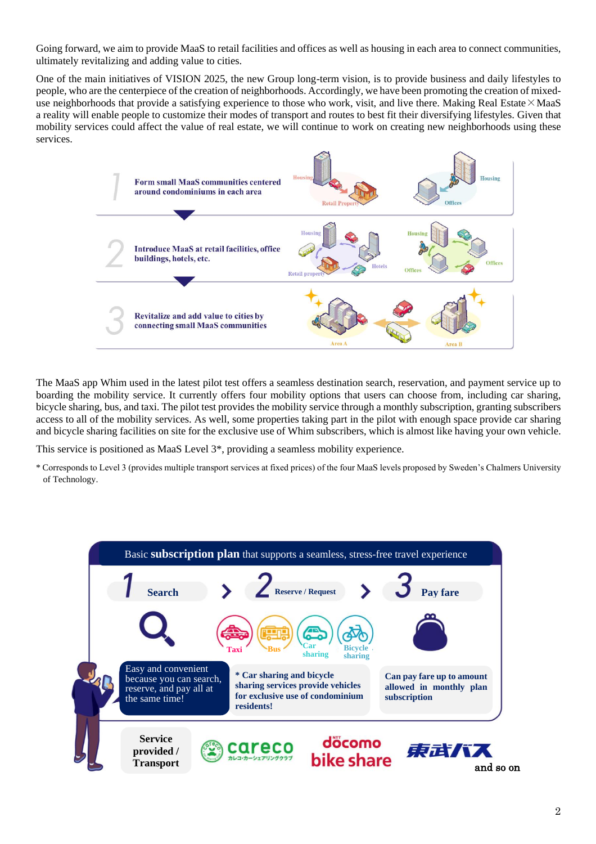Going forward, we aim to provide MaaS to retail facilities and offices as well as housing in each area to connect communities, ultimately revitalizing and adding value to cities.

One of the main initiatives of VISION 2025, the new Group long-term vision, is to provide business and daily lifestyles to people, who are the centerpiece of the creation of neighborhoods. Accordingly, we have been promoting the creation of mixeduse neighborhoods that provide a satisfying experience to those who work, visit, and live there. Making Real Estate×MaaS a reality will enable people to customize their modes of transport and routes to best fit their diversifying lifestyles. Given that mobility services could affect the value of real estate, we will continue to work on creating new neighborhoods using these services.



The MaaS app Whim used in the latest pilot test offers a seamless destination search, reservation, and payment service up to boarding the mobility service. It currently offers four mobility options that users can choose from, including car sharing, bicycle sharing, bus, and taxi. The pilot test provides the mobility service through a monthly subscription, granting subscribers access to all of the mobility services. As well, some properties taking part in the pilot with enough space provide car sharing and bicycle sharing facilities on site for the exclusive use of Whim subscribers, which is almost like having your own vehicle.

This service is positioned as MaaS Level 3\*, providing a seamless mobility experience.

\* Corresponds to Level 3 (provides multiple transport services at fixed prices) of the four MaaS levels proposed by Sweden's Chalmers University of Technology.

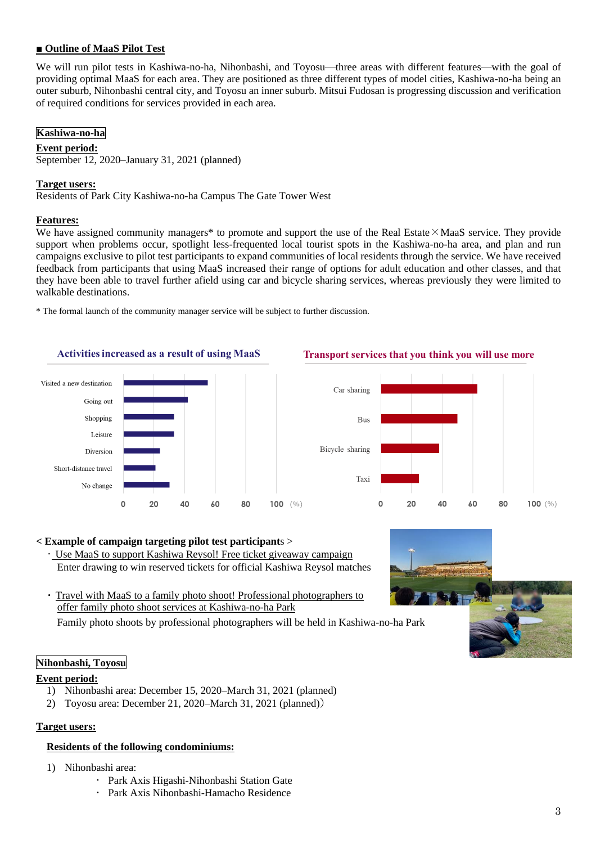# **■ Outline of MaaS Pilot Test**

We will run pilot tests in Kashiwa-no-ha, Nihonbashi, and Toyosu—three areas with different features—with the goal of providing optimal MaaS for each area. They are positioned as three different types of model cities, Kashiwa-no-ha being an outer suburb, Nihonbashi central city, and Toyosu an inner suburb. Mitsui Fudosan is progressing discussion and verification of required conditions for services provided in each area.

### **Kashiwa-no-ha**

### **Event period:**

September 12, 2020–January 31, 2021 (planned)

### **Target users:**

Residents of Park City Kashiwa-no-ha Campus The Gate Tower West

### **Features:**

We have assigned community managers\* to promote and support the use of the Real Estate $\times$ MaaS service. They provide support when problems occur, spotlight less-frequented local tourist spots in the Kashiwa-no-ha area, and plan and run campaigns exclusive to pilot test participants to expand communities of local residents through the service. We have received feedback from participants that using MaaS increased their range of options for adult education and other classes, and that they have been able to travel further afield using car and bicycle sharing services, whereas previously they were limited to walkable destinations.

\* The formal launch of the community manager service will be subject to further discussion.





### Transport services that you think you will use more



### **< Example of campaign targeting pilot test participant**s >

- ・ Use MaaS to support Kashiwa Reysol! Free ticket giveaway campaign Enter drawing to win reserved tickets for official Kashiwa Reysol matches
- Travel with MaaS to a family photo shoot! Professional photographers to offer family photo shoot services at Kashiwa-no-ha Park

Family photo shoots by professional photographers will be held in Kashiwa-no-ha Park

# **Nihonbashi, Toyosu**

#### **Event period:**

- 1) Nihonbashi area: December 15, 2020–March 31, 2021 (planned)
- 2) Toyosu area: December 21, 2020–March 31, 2021 (planned))

### **Target users:**

### **Residents of the following condominiums:**

- 1) Nihonbashi area:
	- Park Axis Higashi-Nihonbashi Station Gate
	- Park Axis Nihonbashi-Hamacho Residence